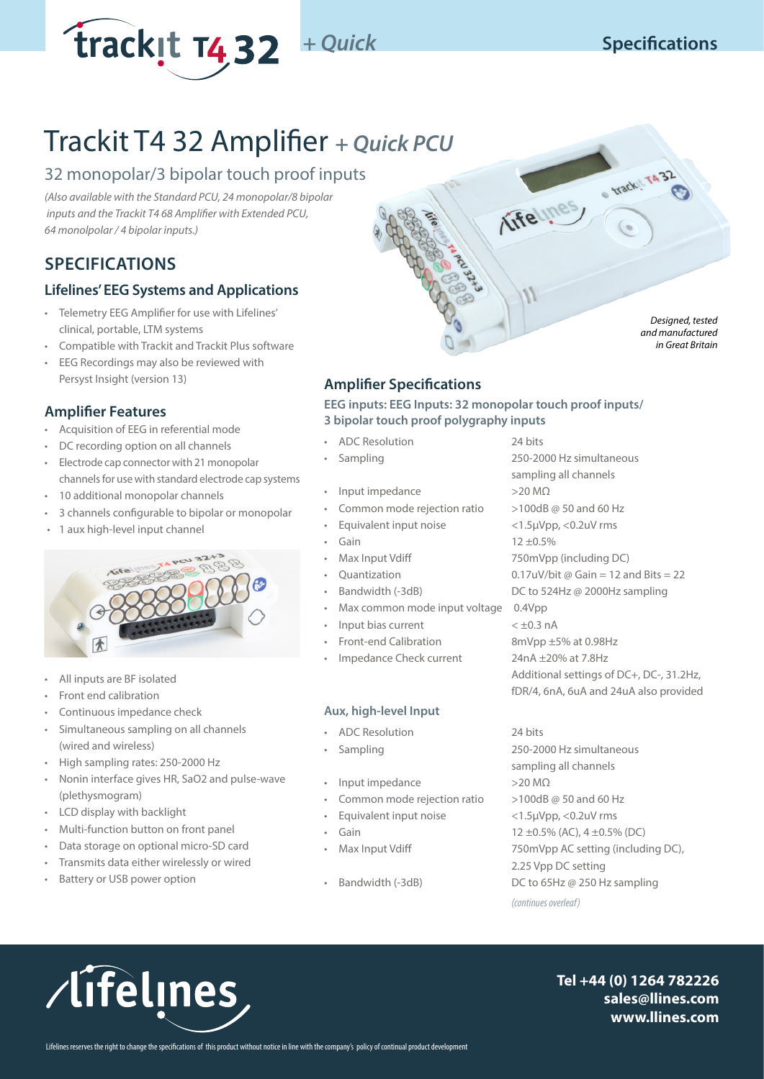

*Designed, tested and manufactured in Great Britain*

# Trackit T4 32 Amplifier *+ Quick PCU*

# 32 monopolar/3 bipolar touch proof inputs

*(Also available with the Standard PCU, 24 monopolar/8 bipolar inputs and the Trackit T4 68 Amplifier with Extended PCU, 64 monolpolar / 4 bipolar inputs.)*

# **SPECIFICATIONS**

## **Lifelines' EEG Systems and Applications**

- Telemetry EEG Amplifier for use with Lifelines' clinical, portable, LTM systems
- Compatible with Trackit and Trackit Plus software
- EEG Recordings may also be reviewed with Persyst Insight (version 13)

## **Amplifier Features**

- Acquisition of EEG in referential mode
- DC recording option on all channels
- Electrode cap connector with 21 monopolar channels for use with standard electrode cap systems
- 10 additional monopolar channels
- 3 channels configurable to bipolar or monopolar
- 1 aux high-level input channel



- All inputs are BF isolated
- Front end calibration
- Continuous impedance check
- Simultaneous sampling on all channels (wired and wireless)
- High sampling rates: 250-2000 Hz
- Nonin interface gives HR, SaO2 and pulse-wave (plethysmogram)
- LCD display with backlight
- Multi-function button on front panel
- Data storage on optional micro-SD card
- Transmits data either wirelessly or wired
- Battery or USB power option

# **Amplifier Specifications**

**EEG inputs: EEG Inputs: 32 monopolar touch proof inputs/ 3 bipolar touch proof polygraphy inputs**

- ADC Resolution 24 bits
- 
- Input impedance >20 MΩ
- Common mode rejection ratio >100dB @ 50 and 60 Hz
- Equivalent input noise <1.5µVpp, <0.2uV rms
- 
- 
- 
- 
- Max common mode input voltage 0.4Vpp
- Input bias current  $\lt \pm 0.3$  nA
- 
- Impedance Check current 24nA ±20% at 7.8Hz

## **Aux, high-level Input**

- ADC Resolution 24 bits
- 
- Input impedance >20 MΩ
- Common mode rejection ratio  $>100$ dB @ 50 and 60 Hz
- Equivalent input noise <1.5µVpp, <0.2uV rms
- 
- 
- 

• Sampling 250-2000 Hz simultaneous sampling all channels Gain 12 ±0.5% • Max Input Vdiff 750mVpp (including DC) Quantization  $0.17uV/b$ it @ Gain = 12 and Bits = 22 • Bandwidth (-3dB) DC to 524Hz @ 2000Hz sampling • Front-end Calibration 8mVpp ±5% at 0.98Hz Additional settings of DC+, DC-, 31.2Hz, fDR/4, 6nA, 6uA and 24uA also provided

Life I nes track TA32

• Sampling 250-2000 Hz simultaneous sampling all channels • Gain 12 ±0.5% (AC), 4 ±0.5% (DC) • Max Input Vdiff 750mVpp AC setting (including DC), 2.25 Vpp DC setting Bandwidth (-3dB) DC to 65Hz @ 250 Hz sampling *(continues overleaf)*



**Tel +44 (0) 1264 782226 sales@llines.com www.llines.com**